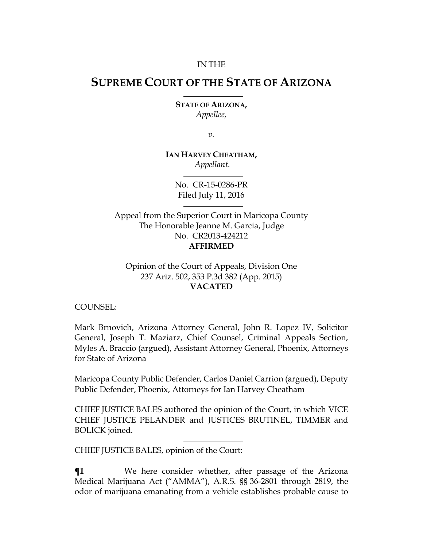#### IN THE

# **SUPREME COURT OF THE STATE OF ARIZONA**

**STATE OF ARIZONA,** *Appellee,*

*v.*

**IAN HARVEY CHEATHAM,** *Appellant.*

> No. CR-15-0286-PR Filed July 11, 2016

Appeal from the Superior Court in Maricopa County The Honorable Jeanne M. Garcia, Judge No. CR2013-424212 **AFFIRMED**

Opinion of the Court of Appeals, Division One 237 Ariz. 502, 353 P.3d 382 (App. 2015) **VACATED**

COUNSEL:

Mark Brnovich, Arizona Attorney General, John R. Lopez IV, Solicitor General, Joseph T. Maziarz, Chief Counsel, Criminal Appeals Section, Myles A. Braccio (argued), Assistant Attorney General, Phoenix, Attorneys for State of Arizona

Maricopa County Public Defender, Carlos Daniel Carrion (argued), Deputy Public Defender, Phoenix, Attorneys for Ian Harvey Cheatham

CHIEF JUSTICE BALES authored the opinion of the Court, in which VICE CHIEF JUSTICE PELANDER and JUSTICES BRUTINEL, TIMMER and BOLICK joined.

CHIEF JUSTICE BALES, opinion of the Court:

**¶1** We here consider whether, after passage of the Arizona Medical Marijuana Act ("AMMA"), A.R.S. §§ 36-2801 through 2819, the odor of marijuana emanating from a vehicle establishes probable cause to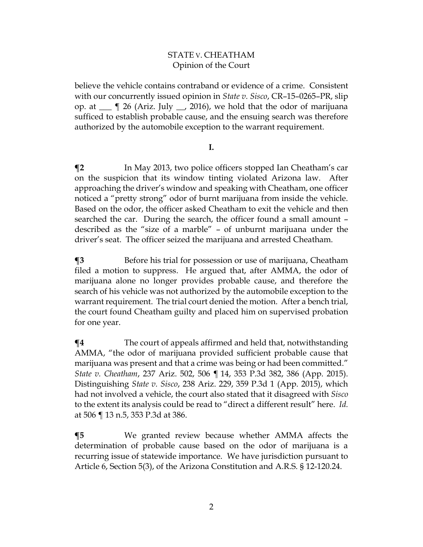## STATE V. CHEATHAM Opinion of the Court

believe the vehicle contains contraband or evidence of a crime. Consistent with our concurrently issued opinion in *State v. Sisco*, CR–15–0265–PR, slip op. at  $\equiv$  ¶ 26 (Ariz. July  $\equiv$ , 2016), we hold that the odor of marijuana sufficed to establish probable cause, and the ensuing search was therefore authorized by the automobile exception to the warrant requirement.

#### **I.**

 $\P$ **2** In May 2013, two police officers stopped Ian Cheatham's car on the suspicion that its window tinting violated Arizona law. After approaching the driver's window and speaking with Cheatham, one officer noticed a "pretty strong" odor of burnt marijuana from inside the vehicle. Based on the odor, the officer asked Cheatham to exit the vehicle and then searched the car. During the search, the officer found a small amount – described as the "size of a marble" – of unburnt marijuana under the driver's seat. The officer seized the marijuana and arrested Cheatham.

**¶3** Before his trial for possession or use of marijuana, Cheatham filed a motion to suppress. He argued that, after AMMA, the odor of marijuana alone no longer provides probable cause, and therefore the search of his vehicle was not authorized by the automobile exception to the warrant requirement. The trial court denied the motion. After a bench trial, the court found Cheatham guilty and placed him on supervised probation for one year.

**¶4** The court of appeals affirmed and held that, notwithstanding AMMA, "the odor of marijuana provided sufficient probable cause that marijuana was present and that a crime was being or had been committed." *State v. Cheatham*, 237 Ariz. 502, 506 ¶ 14, 353 P.3d 382, 386 (App. 2015). Distinguishing *State v. Sisco*, 238 Ariz. 229, 359 P.3d 1 (App. 2015), which had not involved a vehicle, the court also stated that it disagreed with *Sisco*  to the extent its analysis could be read to "direct a different result" here. *Id.* at 506 ¶ 13 n.5, 353 P.3d at 386.

**¶5** We granted review because whether AMMA affects the determination of probable cause based on the odor of marijuana is a recurring issue of statewide importance. We have jurisdiction pursuant to Article 6, Section 5(3), of the Arizona Constitution and A.R.S. § 12-120.24.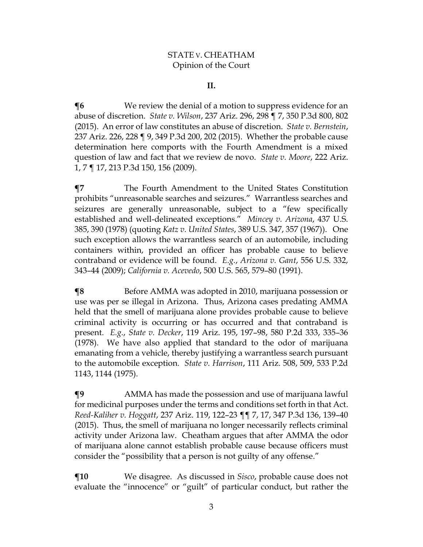## STATE V. CHEATHAM Opinion of the Court

#### **II.**

**The EXT** We review the denial of a motion to suppress evidence for an abuse of discretion. *State v. Wilson*, 237 Ariz. 296, 298 ¶ 7, 350 P.3d 800, 802 (2015). An error of law constitutes an abuse of discretion. *State v. Bernstein*, 237 Ariz. 226, 228 ¶ 9, 349 P.3d 200, 202 (2015). Whether the probable cause determination here comports with the Fourth Amendment is a mixed question of law and fact that we review de novo. *State v. Moore*, 222 Ariz. 1, 7 ¶ 17, 213 P.3d 150, 156 (2009).

**¶7** The Fourth Amendment to the United States Constitution prohibits "unreasonable searches and seizures." Warrantless searches and seizures are generally unreasonable, subject to a "few specifically established and well-delineated exceptions." *Mincey v. Arizona*, 437 U.S. 385, 390 (1978) (quoting *Katz v. United States*, 389 U.S. 347, 357 (1967)). One such exception allows the warrantless search of an automobile, including containers within, provided an officer has probable cause to believe contraband or evidence will be found. *E.g.*, *Arizona v. Gant*, 556 U.S. 332, 343–44 (2009); *California v. Acevedo*, 500 U.S. 565, 579–80 (1991).

**The Form Sefore AMMA** was adopted in 2010, marijuana possession or use was per se illegal in Arizona. Thus, Arizona cases predating AMMA held that the smell of marijuana alone provides probable cause to believe criminal activity is occurring or has occurred and that contraband is present. *E.g.*, *State v. Decker*, 119 Ariz. 195, 197–98, 580 P.2d 333, 335–36 (1978). We have also applied that standard to the odor of marijuana emanating from a vehicle, thereby justifying a warrantless search pursuant to the automobile exception*. State v. Harrison*, 111 Ariz. 508, 509, 533 P.2d 1143, 1144 (1975).

**¶9** AMMA has made the possession and use of marijuana lawful for medicinal purposes under the terms and conditions set forth in that Act. *Reed-Kaliher v. Hoggatt*, 237 Ariz. 119, 122–23 ¶¶ 7, 17, 347 P.3d 136, 139–40 (2015). Thus, the smell of marijuana no longer necessarily reflects criminal activity under Arizona law. Cheatham argues that after AMMA the odor of marijuana alone cannot establish probable cause because officers must consider the "possibility that a person is not guilty of any offense."

**¶10** We disagree. As discussed in *Sisco*, probable cause does not evaluate the "innocence" or "guilt" of particular conduct, but rather the